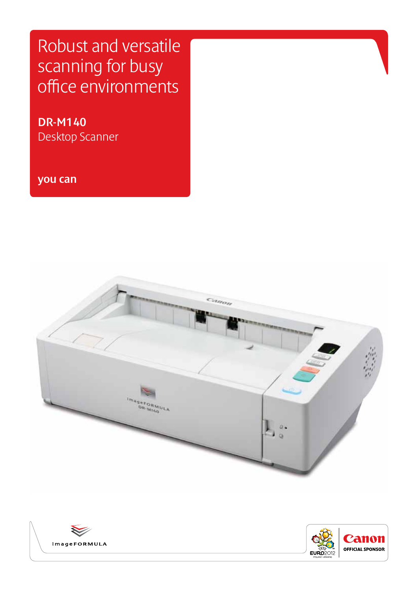Robust and versatile scanning for busy office environments

**DR-M140** Desktop Scanner

imageFORMULA

**you can**



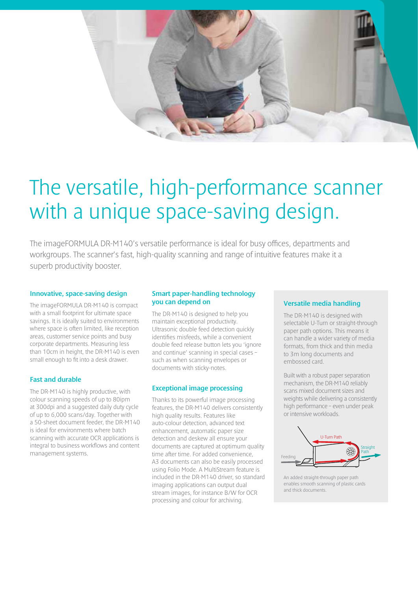

# The versatile, high-performance scanner with a unique space-saving design.

The imageFORMULA DR-M140's versatile performance is ideal for busy offices, departments and workgroups. The scanner's fast, high-quality scanning and range of intuitive features make it a superb productivity booster.

### **Innovative, space-saving design**

The imageFORMULA DR-M140 is compact with a small footprint for ultimate space savings. It is ideally suited to environments where space is often limited, like reception areas, customer service points and busy corporate departments. Measuring less than 10cm in height, the DR-M140 is even small enough to fit into a desk drawer.

# **Fast and durable**

The DR-M140 is highly productive, with colour scanning speeds of up to 80ipm at 300dpi and a suggested daily duty cycle of up to 6,000 scans/day. Together with a 50-sheet document feeder, the DR-M140 is ideal for environments where batch scanning with accurate OCR applications is integral to business workflows and content management systems.

# **Smart paper-handling technology you can depend on**

The DR-M140 is designed to help you maintain exceptional productivity. Ultrasonic double feed detection quickly identifies misfeeds, while a convenient double feed release button lets you 'ignore and continue' scanning in special cases – such as when scanning envelopes or documents with sticky-notes.

# **Exceptional image processing**

Thanks to its powerful image processing features, the DR-M140 delivers consistently high quality results. Features like auto-colour detection, advanced text enhancement, automatic paper size detection and deskew all ensure your documents are captured at optimum quality time after time. For added convenience, A3 documents can also be easily processed using Folio Mode. A MultiStream feature is included in the DR-M140 driver, so standard imaging applications can output dual stream images, for instance B/W for OCR processing and colour for archiving.

# **Versatile media handling**

The DR-M140 is designed with selectable U-Turn or straight-through paper path options. This means it can handle a wider variety of media formats, from thick and thin media to 3m long documents and embossed card.

Built with a robust paper separation mechanism, the DR-M140 reliably scans mixed document sizes and weights while delivering a consistently high performance – even under peak or intensive workloads.



An added straight-through paper path enables smooth scanning of plastic cards and thick documents.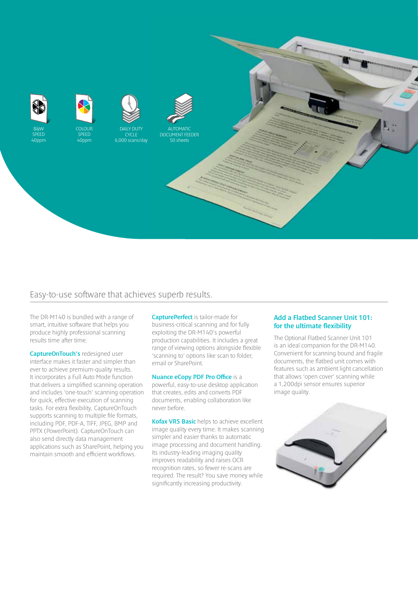

# Easy-to-use software that achieves superb results.

The DR-M140 is bundled with a range of smart, intuitive software that helps you produce highly professional scanning results time after time.

**CaptureOnTouch's** redesigned user interface makes it faster and simpler than ever to achieve premium-quality results. It incorporates a Full Auto Mode function that delivers a simplified scanning operation and includes 'one-touch' scanning operation for quick, effective execution of scanning tasks. For extra flexibility, CaptureOnTouch supports scanning to multiple file formats, including PDF, PDF-A, TIFF, JPEG, BMP and PPTX (PowerPoint). CaptureOnTouch can also send directly data management applications such as SharePoint, helping you maintain smooth and efficient workflows.

**CapturePerfect** is tailor-made for business-critical scanning and for fully exploiting the DR-M140's powerful production capabilities. It includes a great range of viewing options alongside flexible 'scanning to' options like scan to folder, email or SharePoint.

## **Nuance eCopy PDF Pro Office** is a

powerful, easy-to-use desktop application that creates, edits and converts PDF documents, enabling collaboration like never before.

**Kofax VRS Basic** helps to achieve excellent image quality every time. It makes scanning simpler and easier thanks to automatic image processing and document handling. Its industry-leading imaging quality improves readability and raises OCR recognition rates, so fewer re-scans are required. The result? You save money while significantly increasing productivity.

### **Add a Flatbed Scanner Unit 101: for the ultimate flexibility**

The Optional Flatbed Scanner Unit 101 is an ideal companion for the DR-M140. Convenient for scanning bound and fragile documents, the flatbed unit comes with features such as ambient light cancellation that allows 'open cover' scanning while a 1,200dpi sensor ensures superior image quality.